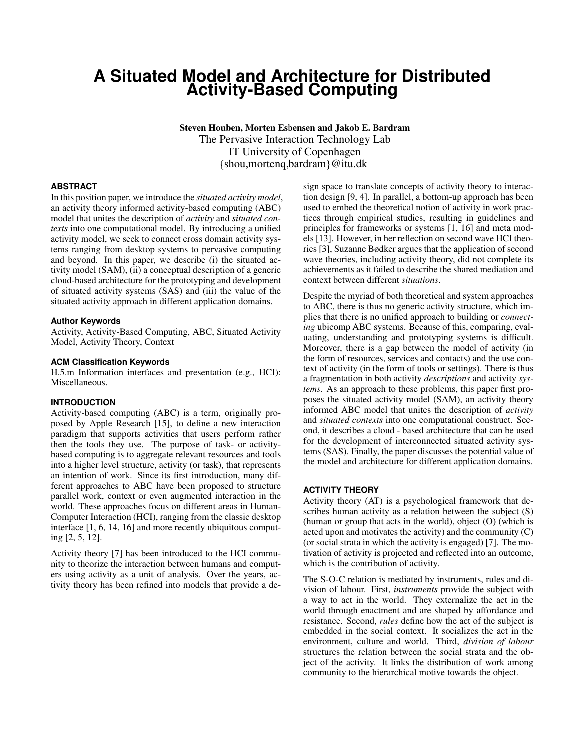# **A Situated Model and Architecture for Distributed Activity-Based Computing**

Steven Houben, Morten Esbensen and Jakob E. Bardram The Pervasive Interaction Technology Lab IT University of Copenhagen {shou,mortenq,bardram}@itu.dk

### **ABSTRACT**

In this position paper, we introduce the *situated activity model*, an activity theory informed activity-based computing (ABC) model that unites the description of *activity* and *situated contexts* into one computational model. By introducing a unified activity model, we seek to connect cross domain activity systems ranging from desktop systems to pervasive computing and beyond. In this paper, we describe (i) the situated activity model (SAM), (ii) a conceptual description of a generic cloud-based architecture for the prototyping and development of situated activity systems (SAS) and (iii) the value of the situated activity approach in different application domains.

#### **Author Keywords**

Activity, Activity-Based Computing, ABC, Situated Activity Model, Activity Theory, Context

#### **ACM Classification Keywords**

H.5.m Information interfaces and presentation (e.g., HCI): Miscellaneous.

#### **INTRODUCTION**

Activity-based computing (ABC) is a term, originally proposed by Apple Research [\[15\]](#page-4-0), to define a new interaction paradigm that supports activities that users perform rather then the tools they use. The purpose of task- or activitybased computing is to aggregate relevant resources and tools into a higher level structure, activity (or task), that represents an intention of work. Since its first introduction, many different approaches to ABC have been proposed to structure parallel work, context or even augmented interaction in the world. These approaches focus on different areas in Human-Computer Interaction (HCI), ranging from the classic desktop interface [\[1,](#page-4-1) [6,](#page-4-2) [14,](#page-4-3) [16\]](#page-4-4) and more recently ubiquitous computing [\[2,](#page-4-5) [5,](#page-4-6) [12\]](#page-4-7).

Activity theory [\[7\]](#page-4-8) has been introduced to the HCI community to theorize the interaction between humans and computers using activity as a unit of analysis. Over the years, activity theory has been refined into models that provide a de-

sign space to translate concepts of activity theory to interaction design [\[9,](#page-4-9) [4\]](#page-4-10). In parallel, a bottom-up approach has been used to embed the theoretical notion of activity in work practices through empirical studies, resulting in guidelines and principles for frameworks or systems [\[1,](#page-4-1) [16\]](#page-4-4) and meta models [\[13\]](#page-4-11). However, in her reflection on second wave HCI theories [\[3\]](#page-4-12), Suzanne Bødker argues that the application of second wave theories, including activity theory, did not complete its achievements as it failed to describe the shared mediation and context between different *situations*.

Despite the myriad of both theoretical and system approaches to ABC, there is thus no generic activity structure, which implies that there is no unified approach to building or *connecting* ubicomp ABC systems. Because of this, comparing, evaluating, understanding and prototyping systems is difficult. Moreover, there is a gap between the model of activity (in the form of resources, services and contacts) and the use context of activity (in the form of tools or settings). There is thus a fragmentation in both activity *descriptions* and activity *systems*. As an approach to these problems, this paper first proposes the situated activity model (SAM), an activity theory informed ABC model that unites the description of *activity* and *situated contexts* into one computational construct. Second, it describes a cloud - based architecture that can be used for the development of interconnected situated activity systems (SAS). Finally, the paper discusses the potential value of the model and architecture for different application domains.

#### **ACTIVITY THEORY**

Activity theory (AT) is a psychological framework that describes human activity as a relation between the subject (S) (human or group that acts in the world), object (O) (which is acted upon and motivates the activity) and the community (C) (or social strata in which the activity is engaged) [\[7\]](#page-4-8). The motivation of activity is projected and reflected into an outcome, which is the contribution of activity.

The S-O-C relation is mediated by instruments, rules and division of labour. First, *instruments* provide the subject with a way to act in the world. They externalize the act in the world through enactment and are shaped by affordance and resistance. Second, *rules* define how the act of the subject is embedded in the social context. It socializes the act in the environment, culture and world. Third, *division of labour* structures the relation between the social strata and the object of the activity. It links the distribution of work among community to the hierarchical motive towards the object.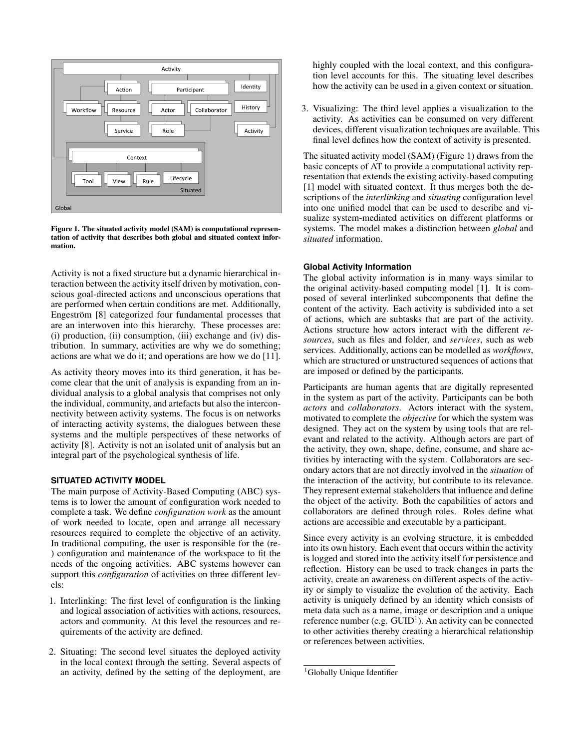

<span id="page-1-0"></span>Figure 1. The situated activity model (SAM) is computational representation of activity that describes both global and situated context information.

Activity is not a fixed structure but a dynamic hierarchical interaction between the activity itself driven by motivation, conscious goal-directed actions and unconscious operations that are performed when certain conditions are met. Additionally, Engeström [[8\]](#page-4-13) categorized four fundamental processes that are an interwoven into this hierarchy. These processes are: (i) production, (ii) consumption, (iii) exchange and (iv) distribution. In summary, activities are why we do something; actions are what we do it; and operations are how we do [\[11\]](#page-4-14).

As activity theory moves into its third generation, it has become clear that the unit of analysis is expanding from an individual analysis to a global analysis that comprises not only the individual, community, and artefacts but also the interconnectivity between activity systems. The focus is on networks of interacting activity systems, the dialogues between these systems and the multiple perspectives of these networks of activity [\[8\]](#page-4-13). Activity is not an isolated unit of analysis but an integral part of the psychological synthesis of life.

# **SITUATED ACTIVITY MODEL**

The main purpose of Activity-Based Computing (ABC) systems is to lower the amount of configuration work needed to complete a task. We define *configuration work* as the amount of work needed to locate, open and arrange all necessary resources required to complete the objective of an activity. In traditional computing, the user is responsible for the (re- ) configuration and maintenance of the workspace to fit the needs of the ongoing activities. ABC systems however can support this *configuration* of activities on three different levels:

- 1. Interlinking: The first level of configuration is the linking and logical association of activities with actions, resources, actors and community. At this level the resources and requirements of the activity are defined.
- 2. Situating: The second level situates the deployed activity in the local context through the setting. Several aspects of an activity, defined by the setting of the deployment, are

highly coupled with the local context, and this configuration level accounts for this. The situating level describes how the activity can be used in a given context or situation.

3. Visualizing: The third level applies a visualization to the activity. As activities can be consumed on very different devices, different visualization techniques are available. This final level defines how the context of activity is presented.

The situated activity model (SAM) (Figure [1\)](#page-1-0) draws from the basic concepts of AT to provide a computational activity representation that extends the existing activity-based computing [\[1\]](#page-4-1) model with situated context. It thus merges both the descriptions of the *interlinking* and *situating* configuration level into one unified model that can be used to describe and visualize system-mediated activities on different platforms or systems. The model makes a distinction between *global* and *situated* information.

#### **Global Activity Information**

The global activity information is in many ways similar to the original activity-based computing model [\[1\]](#page-4-1). It is composed of several interlinked subcomponents that define the content of the activity. Each activity is subdivided into a set of actions, which are subtasks that are part of the activity. Actions structure how actors interact with the different *resources*, such as files and folder, and *services*, such as web services. Additionally, actions can be modelled as *workflows*, which are structured or unstructured sequences of actions that are imposed or defined by the participants.

Participants are human agents that are digitally represented in the system as part of the activity. Participants can be both *actors* and *collaborators*. Actors interact with the system, motivated to complete the *objective* for which the system was designed. They act on the system by using tools that are relevant and related to the activity. Although actors are part of the activity, they own, shape, define, consume, and share activities by interacting with the system. Collaborators are secondary actors that are not directly involved in the *situation* of the interaction of the activity, but contribute to its relevance. They represent external stakeholders that influence and define the object of the activity. Both the capabilities of actors and collaborators are defined through roles. Roles define what actions are accessible and executable by a participant.

Since every activity is an evolving structure, it is embedded into its own history. Each event that occurs within the activity is logged and stored into the activity itself for persistence and reflection. History can be used to track changes in parts the activity, create an awareness on different aspects of the activity or simply to visualize the evolution of the activity. Each activity is uniquely defined by an identity which consists of meta data such as a name, image or description and a unique reference number (e.g.  $GUID<sup>1</sup>$  $GUID<sup>1</sup>$  $GUID<sup>1</sup>$ ). An activity can be connected to other activities thereby creating a hierarchical relationship or references between activities.

<span id="page-1-1"></span><sup>&</sup>lt;sup>1</sup>Globally Unique Identifier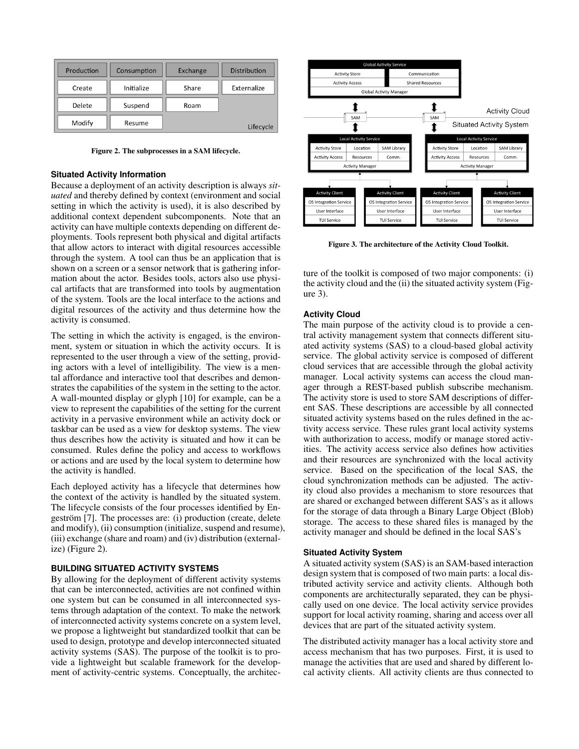| Production | Consumption | Exchange | Distribution |
|------------|-------------|----------|--------------|
| Create     | Initialize  | Share    | Externalize  |
| Delete     | Suspend     | Roam     |              |
| Modify     | Resume      |          | Lifecycle    |

<span id="page-2-0"></span>Figure 2. The subprocesses in a SAM lifecycle.

#### **Situated Activity Information**

Because a deployment of an activity description is always *situated* and thereby defined by context (environment and social setting in which the activity is used), it is also described by additional context dependent subcomponents. Note that an activity can have multiple contexts depending on different deployments. Tools represent both physical and digital artifacts that allow actors to interact with digital resources accessible through the system. A tool can thus be an application that is shown on a screen or a sensor network that is gathering information about the actor. Besides tools, actors also use physical artifacts that are transformed into tools by augmentation of the system. Tools are the local interface to the actions and digital resources of the activity and thus determine how the activity is consumed.

The setting in which the activity is engaged, is the environment, system or situation in which the activity occurs. It is represented to the user through a view of the setting, providing actors with a level of intelligibility. The view is a mental affordance and interactive tool that describes and demonstrates the capabilities of the system in the setting to the actor. A wall-mounted display or glyph [\[10\]](#page-4-15) for example, can be a view to represent the capabilities of the setting for the current activity in a pervasive environment while an activity dock or taskbar can be used as a view for desktop systems. The view thus describes how the activity is situated and how it can be consumed. Rules define the policy and access to workflows or actions and are used by the local system to determine how the activity is handled.

Each deployed activity has a lifecycle that determines how the context of the activity is handled by the situated system. The lifecycle consists of the four processes identified by Engeström  $[7]$  $[7]$ . The processes are: (i) production (create, delete and modify), (ii) consumption (initialize, suspend and resume), (iii) exchange (share and roam) and (iv) distribution (externalize) (Figure [2\)](#page-2-0).

#### **BUILDING SITUATED ACTIVITY SYSTEMS**

By allowing for the deployment of different activity systems that can be interconnected, activities are not confined within one system but can be consumed in all interconnected systems through adaptation of the context. To make the network of interconnected activity systems concrete on a system level, we propose a lightweight but standardized toolkit that can be used to design, prototype and develop interconnected situated activity systems (SAS). The purpose of the toolkit is to provide a lightweight but scalable framework for the development of activity-centric systems. Conceptually, the architec-



<span id="page-2-1"></span>Figure 3. The architecture of the Activity Cloud Toolkit.

ture of the toolkit is composed of two major components: (i) the activity cloud and the (ii) the situated activity system (Figure [3\)](#page-2-1).

#### **Activity Cloud**

The main purpose of the activity cloud is to provide a central activity management system that connects different situated activity systems (SAS) to a cloud-based global activity service. The global activity service is composed of different cloud services that are accessible through the global activity manager. Local activity systems can access the cloud manager through a REST-based publish subscribe mechanism. The activity store is used to store SAM descriptions of different SAS. These descriptions are accessible by all connected situated activity systems based on the rules defined in the activity access service. These rules grant local activity systems with authorization to access, modify or manage stored activities. The activity access service also defines how activities and their resources are synchronized with the local activity service. Based on the specification of the local SAS, the cloud synchronization methods can be adjusted. The activity cloud also provides a mechanism to store resources that are shared or exchanged between different SAS's as it allows for the storage of data through a Binary Large Object (Blob) storage. The access to these shared files is managed by the activity manager and should be defined in the local SAS's

### **Situated Activity System**

A situated activity system (SAS) is an SAM-based interaction design system that is composed of two main parts: a local distributed activity service and activity clients. Although both components are architecturally separated, they can be physically used on one device. The local activity service provides support for local activity roaming, sharing and access over all devices that are part of the situated activity system.

The distributed activity manager has a local activity store and access mechanism that has two purposes. First, it is used to manage the activities that are used and shared by different local activity clients. All activity clients are thus connected to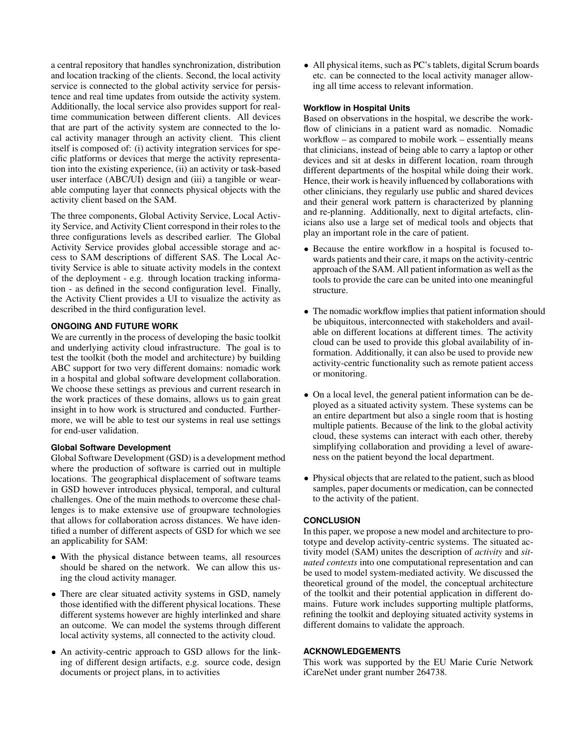a central repository that handles synchronization, distribution and location tracking of the clients. Second, the local activity service is connected to the global activity service for persistence and real time updates from outside the activity system. Additionally, the local service also provides support for realtime communication between different clients. All devices that are part of the activity system are connected to the local activity manager through an activity client. This client itself is composed of: (i) activity integration services for specific platforms or devices that merge the activity representation into the existing experience, (ii) an activity or task-based user interface (ABC/UI) design and (iii) a tangible or wearable computing layer that connects physical objects with the activity client based on the SAM.

The three components, Global Activity Service, Local Activity Service, and Activity Client correspond in their roles to the three configurations levels as described earlier. The Global Activity Service provides global accessible storage and access to SAM descriptions of different SAS. The Local Activity Service is able to situate activity models in the context of the deployment - e.g. through location tracking information - as defined in the second configuration level. Finally, the Activity Client provides a UI to visualize the activity as described in the third configuration level.

# **ONGOING AND FUTURE WORK**

We are currently in the process of developing the basic toolkit and underlying activity cloud infrastructure. The goal is to test the toolkit (both the model and architecture) by building ABC support for two very different domains: nomadic work in a hospital and global software development collaboration. We choose these settings as previous and current research in the work practices of these domains, allows us to gain great insight in to how work is structured and conducted. Furthermore, we will be able to test our systems in real use settings for end-user validation.

# **Global Software Development**

Global Software Development (GSD) is a development method where the production of software is carried out in multiple locations. The geographical displacement of software teams in GSD however introduces physical, temporal, and cultural challenges. One of the main methods to overcome these challenges is to make extensive use of groupware technologies that allows for collaboration across distances. We have identified a number of different aspects of GSD for which we see an applicability for SAM:

- With the physical distance between teams, all resources should be shared on the network. We can allow this using the cloud activity manager.
- There are clear situated activity systems in GSD, namely those identified with the different physical locations. These different systems however are highly interlinked and share an outcome. We can model the systems through different local activity systems, all connected to the activity cloud.
- An activity-centric approach to GSD allows for the linking of different design artifacts, e.g. source code, design documents or project plans, in to activities

• All physical items, such as PC's tablets, digital Scrum boards etc. can be connected to the local activity manager allowing all time access to relevant information.

# **Workflow in Hospital Units**

Based on observations in the hospital, we describe the workflow of clinicians in a patient ward as nomadic. Nomadic workflow – as compared to mobile work – essentially means that clinicians, instead of being able to carry a laptop or other devices and sit at desks in different location, roam through different departments of the hospital while doing their work. Hence, their work is heavily influenced by collaborations with other clinicians, they regularly use public and shared devices and their general work pattern is characterized by planning and re-planning. Additionally, next to digital artefacts, clinicians also use a large set of medical tools and objects that play an important role in the care of patient.

- Because the entire workflow in a hospital is focused towards patients and their care, it maps on the activity-centric approach of the SAM. All patient information as well as the tools to provide the care can be united into one meaningful structure.
- The nomadic workflow implies that patient information should be ubiquitous, interconnected with stakeholders and available on different locations at different times. The activity cloud can be used to provide this global availability of information. Additionally, it can also be used to provide new activity-centric functionality such as remote patient access or monitoring.
- On a local level, the general patient information can be deployed as a situated activity system. These systems can be an entire department but also a single room that is hosting multiple patients. Because of the link to the global activity cloud, these systems can interact with each other, thereby simplifying collaboration and providing a level of awareness on the patient beyond the local department.
- Physical objects that are related to the patient, such as blood samples, paper documents or medication, can be connected to the activity of the patient.

# **CONCLUSION**

In this paper, we propose a new model and architecture to prototype and develop activity-centric systems. The situated activity model (SAM) unites the description of *activity* and *situated contexts* into one computational representation and can be used to model system-mediated activity. We discussed the theoretical ground of the model, the conceptual architecture of the toolkit and their potential application in different domains. Future work includes supporting multiple platforms, refining the toolkit and deploying situated activity systems in different domains to validate the approach.

# **ACKNOWLEDGEMENTS**

This work was supported by the EU Marie Curie Network iCareNet under grant number 264738.